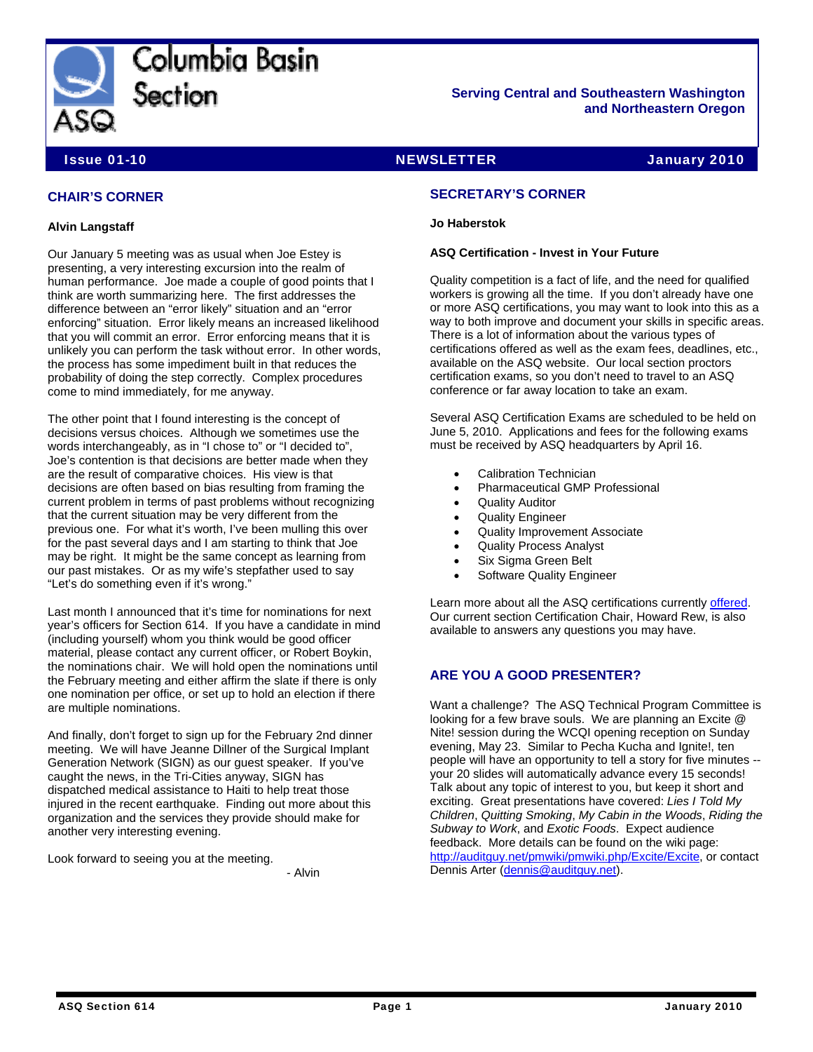

Columbia Basin Section

**Serving Central and Southeastern Washington and Northeastern Oregon** 

**Issue 01-10 NEWSLETTER** The Superintendent of the NEWSLETTER Service of the Superintendent of the Superintendent of the Superintendent of the Superintendent of the Superintendent of the Superintendent of the Superintenden

# **CHAIR'S CORNER**

### **Alvin Langstaff**

Our January 5 meeting was as usual when Joe Estey is presenting, a very interesting excursion into the realm of human performance. Joe made a couple of good points that I think are worth summarizing here. The first addresses the difference between an "error likely" situation and an "error enforcing" situation. Error likely means an increased likelihood that you will commit an error. Error enforcing means that it is unlikely you can perform the task without error. In other words, the process has some impediment built in that reduces the probability of doing the step correctly. Complex procedures come to mind immediately, for me anyway.

The other point that I found interesting is the concept of decisions versus choices. Although we sometimes use the words interchangeably, as in "I chose to" or "I decided to", Joe's contention is that decisions are better made when they are the result of comparative choices. His view is that decisions are often based on bias resulting from framing the current problem in terms of past problems without recognizing that the current situation may be very different from the previous one. For what it's worth, I've been mulling this over for the past several days and I am starting to think that Joe may be right. It might be the same concept as learning from our past mistakes. Or as my wife's stepfather used to say "Let's do something even if it's wrong."

Last month I announced that it's time for nominations for next year's officers for Section 614. If you have a candidate in mind (including yourself) whom you think would be good officer material, please contact any current officer, or Robert Boykin, the nominations chair. We will hold open the nominations until the February meeting and either affirm the slate if there is only one nomination per office, or set up to hold an election if there are multiple nominations.

And finally, don't forget to sign up for the February 2nd dinner meeting. We will have Jeanne Dillner of the Surgical Implant Generation Network (SIGN) as our guest speaker. If you've caught the news, in the Tri-Cities anyway, SIGN has dispatched medical assistance to Haiti to help treat those injured in the recent earthquake. Finding out more about this organization and the services they provide should make for another very interesting evening.

Look forward to seeing you at the meeting. - Alvin

### **SECRETARY'S CORNER**

### **Jo Haberstok**

### **ASQ Certification - Invest in Your Future**

Quality competition is a fact of life, and the need for qualified workers is growing all the time. If you don't already have one or more ASQ certifications, you may want to look into this as a way to both improve and document your skills in specific areas. There is a lot of information about the various types of certifications offered as well as the exam fees, deadlines, etc., available on the ASQ website. Our local section proctors certification exams, so you don't need to travel to an ASQ conference or far away location to take an exam.

Several ASQ Certification Exams are scheduled to be held on June 5, 2010. Applications and fees for the following exams must be received by ASQ headquarters by April 16.

- Calibration Technician
- Pharmaceutical GMP Professional
- Quality Auditor
- Quality Engineer
- Quality Improvement Associate
- Quality Process Analyst
- Six Sigma Green Belt
- Software Quality Engineer

Learn more about all the ASQ certifications currently [offered](http://www.asq.org/certification/faq/index.html). Our current section Certification Chair, Howard Rew, is also available to answers any questions you may have.

# **ARE YOU A GOOD PRESENTER?**

Want a challenge? The ASQ Technical Program Committee is looking for a few brave souls. We are planning an Excite @ Nite! session during the WCQI opening reception on Sunday evening, May 23. Similar to Pecha Kucha and Ignite!, ten people will have an opportunity to tell a story for five minutes - your 20 slides will automatically advance every 15 seconds! Talk about any topic of interest to you, but keep it short and exciting. Great presentations have covered: *Lies I Told My Children*, *Quitting Smoking*, *My Cabin in the Woods*, *Riding the Subway to Work*, and *Exotic Foods*. Expect audience feedback. More details can be found on the wiki page: <http://auditguy.net/pmwiki/pmwiki.php/Excite/Excite>, or contact Dennis Arter ([dennis@auditguy.net](mailto:dennis@auditguy.net)).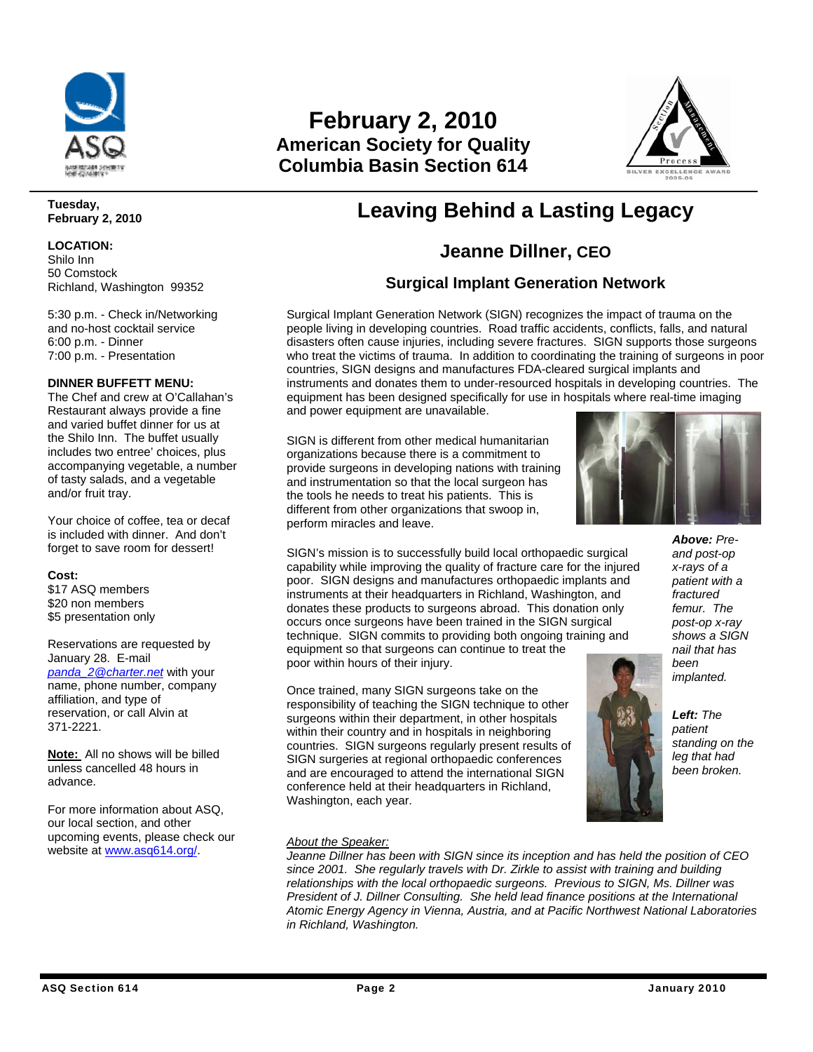

#### **Tuesday, February 2, 2010**

### **LOCATION:**

Shilo Inn 50 Comstock Richland, Washington 99352

5:30 p.m. - Check in/Networking and no-host cocktail service 6:00 p.m. - Dinner 7:00 p.m. - Presentation

### **DINNER BUFFETT MENU:**

The Chef and crew at O'Callahan's Restaurant always provide a fine and varied buffet dinner for us at the Shilo Inn. The buffet usually includes two entree' choices, plus accompanying vegetable, a number of tasty salads, and a vegetable and/or fruit tray.

Your choice of coffee, tea or decaf is included with dinner. And don't forget to save room for dessert!

### **Cost:**

\$17 ASQ members \$20 non members \$5 presentation only

Reservations are requested by January 28. E-mail

*[panda\\_2@charter.net](mailto:panda_2@charter.net)* with your name, phone number, company affiliation, and type of reservation, or call Alvin at 371-2221.

**Note:** All no shows will be billed unless cancelled 48 hours in advance.

For more information about ASQ, our local section, and other upcoming events, please check our website at www.asq614.org/.

# **February 2, 2010 American Society for Quality Columbia Basin Section 614**



# **Leaving Behind a Lasting Legacy**

# **Jeanne Dillner, CEO**

# **Surgical Implant Generation Network**

Surgical Implant Generation Network (SIGN) recognizes the impact of trauma on the people living in developing countries. Road traffic accidents, conflicts, falls, and natural disasters often cause injuries, including severe fractures. SIGN supports those surgeons who treat the victims of trauma. In addition to coordinating the training of surgeons in poor countries, SIGN designs and manufactures FDA-cleared surgical implants and instruments and donates them to under-resourced hospitals in developing countries. The equipment has been designed specifically for use in hospitals where real-time imaging and power equipment are unavailable.

SIGN is different from other medical humanitarian organizations because there is a commitment to provide surgeons in developing nations with training and instrumentation so that the local surgeon has the tools he needs to treat his patients. This is different from other organizations that swoop in, perform miracles and leave.



SIGN's mission is to successfully build local orthopaedic surgical capability while improving the quality of fracture care for the injured poor. SIGN designs and manufactures orthopaedic implants and instruments at their headquarters in Richland, Washington, and donates these products to surgeons abroad. This donation only occurs once surgeons have been trained in the SIGN surgical technique. SIGN commits to providing both ongoing training and equipment so that surgeons can continue to treat the poor within hours of their injury.

Once trained, many SIGN surgeons take on the responsibility of teaching the SIGN technique to other surgeons within their department, in other hospitals within their country and in hospitals in neighboring countries. SIGN surgeons regularly present results of SIGN surgeries at regional orthopaedic conferences and are encouraged to attend the international SIGN conference held at their headquarters in Richland, Washington, each year.

*Above: Preand post-op x-rays of a patient with a fractured femur. The post-op x-ray shows a SIGN nail that has been implanted.* 



# *About the Speaker:*

*Jeanne Dillner has been with SIGN since its inception and has held the position of CEO since 2001. She regularly travels with Dr. Zirkle to assist with training and building relationships with the local orthopaedic surgeons. Previous to SIGN, Ms. Dillner was President of J. Dillner Consulting. She held lead finance positions at the International Atomic Energy Agency in Vienna, Austria, and at Pacific Northwest National Laboratories in Richland, Washington.*